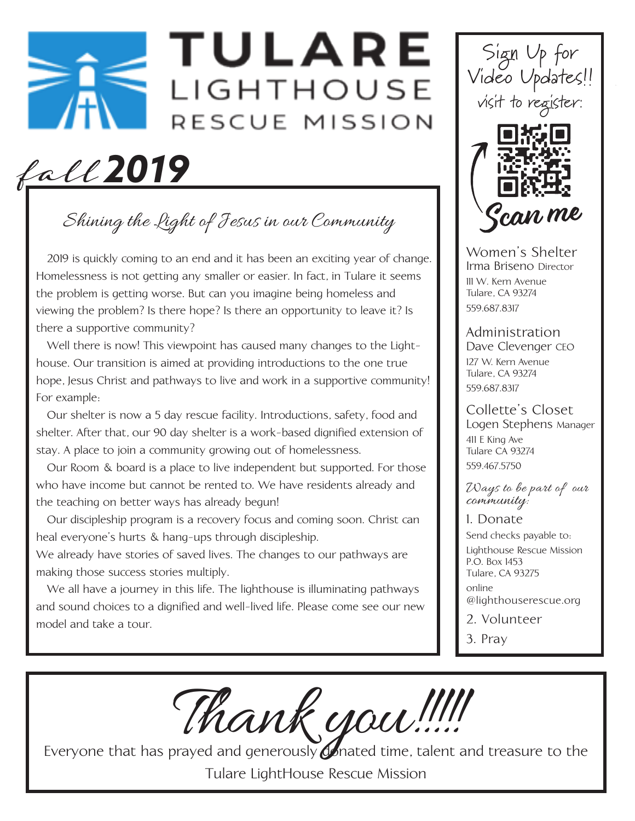# **TULARE** LIGHTHOUSE RESCUE MISSION

fall *2019*

Shining the Light of Jesus in our Community

 2019 is quickly coming to an end and it has been an exciting year of change. Homelessness is not getting any smaller or easier. In fact, in Tulare it seems the problem is getting worse. But can you imagine being homeless and viewing the problem? Is there hope? Is there an opportunity to leave it? Is there a supportive community?

 Well there is now! This viewpoint has caused many changes to the Lighthouse. Our transition is aimed at providing introductions to the one true hope, Jesus Christ and pathways to live and work in a supportive community! For example:

 Our shelter is now a 5 day rescue facility. Introductions, safety, food and shelter. After that, our 90 day shelter is a work-based dignified extension of stay. A place to join a community growing out of homelessness.

 Our Room & board is a place to live independent but supported. For those who have income but cannot be rented to. We have residents already and the teaching on better ways has already begun!

 Our discipleship program is a recovery focus and coming soon. Christ can heal everyone's hurts & hang-ups through discipleship.

We already have stories of saved lives. The changes to our pathways are making those success stories multiply.

 We all have a journey in this life. The lighthouse is illuminating pathways and sound choices to a dignified and well-lived life. Please come see our new model and take a tour.





Women's Shelter Irma Briseno Director 111 W. Kern Avenue Tulare, CA 93274 559.687.8317

Administration Dave Clevenger CEO

127 W. Kern Avenue Tulare, CA 93274 559.687.8317

#### Collette's Closet Logen Stephens Manager 411 E King Ave Tulare CA 93274 559.467.5750

Ways to be part of our community:

1. Donate Send checks payable to: Lighthouse Rescue Mission P.O. Box 1453 Tulare, CA 93275

online @lighthouserescue.org

2. Volunteer

3. Pray

Thank you.!!!!!<br>Everyone that has prayed and generously onated time, talent and treasure to the

Tulare LightHouse Rescue Mission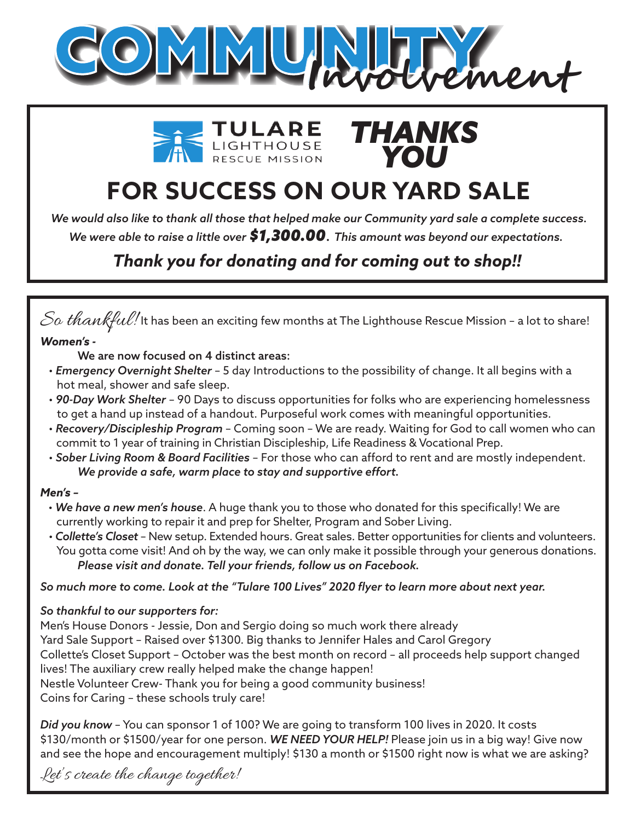





# **FOR SUCCESS ON OUR YARD SALE**

*We were able to raise a little over \$1,300.00*. *This amount was beyond our expectations. We would also like to thank all those that helped make our Community yard sale a complete success.*

### *Thank you for donating and for coming out to shop!!*

### $\it So\ thank full!$  It has been an exciting few months at The Lighthouse Rescue Mission - a lot to share! *Women's -*

We are now focused on 4 distinct areas:

- *Emergency Overnight Shelter* 5 day Introductions to the possibility of change. It all begins with a hot meal, shower and safe sleep.
- *90-Day Work Shelter* 90 Days to discuss opportunities for folks who are experiencing homelessness to get a hand up instead of a handout. Purposeful work comes with meaningful opportunities.
- *Recovery/Discipleship Program*  Coming soon We are ready. Waiting for God to call women who can commit to 1 year of training in Christian Discipleship, Life Readiness & Vocational Prep.
- *Sober Living Room & Board Facilities* For those who can afford to rent and are mostly independent. *We provide a safe, warm place to stay and supportive effort.*

#### *Men's –*

- *We have a new men's house*. A huge thank you to those who donated for this specifically! We are currently working to repair it and prep for Shelter, Program and Sober Living.
- *Collette's Closet*  New setup. Extended hours. Great sales. Better opportunities for clients and volunteers. You gotta come visit! And oh by the way, we can only make it possible through your generous donations. *Please visit and donate. Tell your friends, follow us on Facebook.*

#### *So much more to come. Look at the "Tulare 100 Lives" 2020 flyer to learn more about next year.*

#### *So thankful to our supporters for:*

Men's House Donors - Jessie, Don and Sergio doing so much work there already Yard Sale Support – Raised over \$1300. Big thanks to Jennifer Hales and Carol Gregory Collette's Closet Support – October was the best month on record – all proceeds help support changed lives! The auxiliary crew really helped make the change happen! Nestle Volunteer Crew- Thank you for being a good community business! Coins for Caring – these schools truly care!

*Did you know* – You can sponsor 1 of 100? We are going to transform 100 lives in 2020. It costs \$130/month or \$1500/year for one person. *WE NEED YOUR HELP!* Please join us in a big way! Give now and see the hope and encouragement multiply! \$130 a month or \$1500 right now is what we are asking?

Let's create the change together!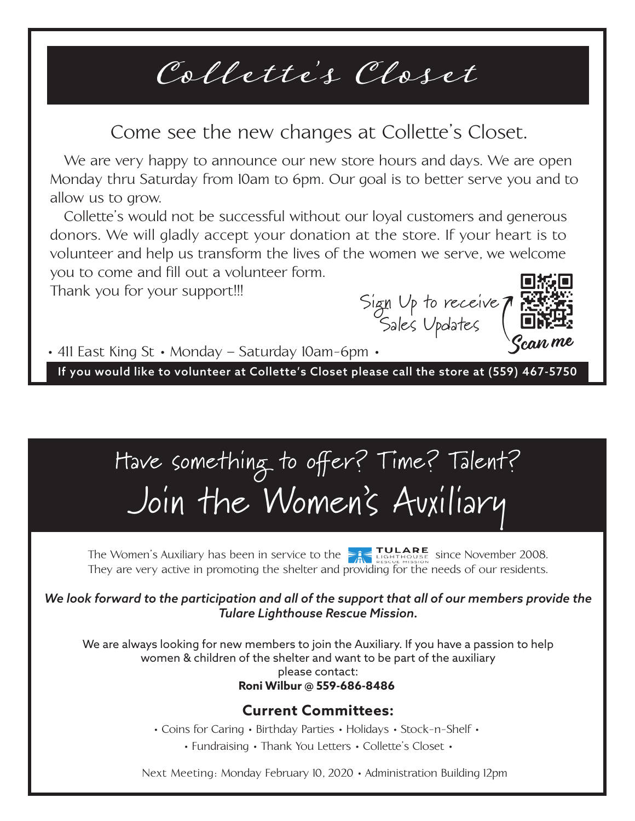# Collette's Closet

## Come see the new changes at Collette's Closet.

allow us to grow. We are very happy to announce our new store hours and days. We are open Monday thru Saturday from 10am to 6pm. Our goal is to better serve you and to

 Collette's would not be successful without our loyal customers and generous donors. We will gladly accept your donation at the store. If your heart is to volunteer and help us transform the lives of the women we serve, we welcome you to come and fill out a volunteer form.

Î Thank you for your support!!!

Sign Up to receive Sales Updates



• 411 East King St • Monday - Saturday 10am-6pm •

If you would like to volunteer at Collette's Closet please call the store at (559) 467-5750

# Have something to offer? Time? Talent? Join the Women 's Auxiliary

They are very active in promoting the shelter and providing for the needs of our residents. The Women's Auxiliary has been in service to the  $\sum_{i}$   $\sum_{\text{RISEU}}^{\text{TLARE}}$  since November 2008.

*We look forward to the participation and all of the support that all of our members provide the Tulare Lighthouse Rescue Mission.*

We are always looking for new members to join the Auxiliary. If you have a passion to help women & children of the shelter and want to be part of the auxiliary please contact: **Roni Wilbur @ 559-686-8486** 

### **Current Committees:**

• Coins for Caring • Birthday Parties • Holidays • Stock-n-Shelf •

• Fundraising • Thank You Letters • Collette's Closet •

Next Meeting: Monday February 10, 2020 • Administration Building 12pm